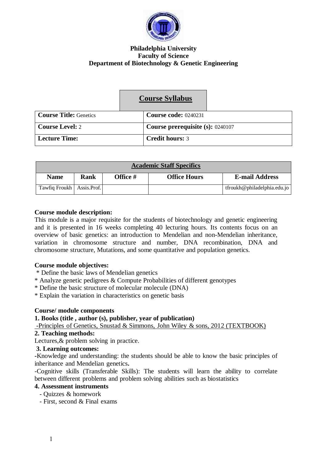

## **Philadelphia University Faculty of Science Department of Biotechnology & Genetic Engineering**

|                               | <b>Course Syllabus</b>                  |
|-------------------------------|-----------------------------------------|
| <b>Course Title: Genetics</b> | <b>Course code: 0240231</b>             |
| <b>Course Level: 2</b>        | <b>Course prerequisite (s): 0240107</b> |
| <b>Lecture Time:</b>          | <b>Credit hours: 3</b>                  |

| <b>Academic Staff Specifics</b> |             |          |                     |                             |  |  |  |
|---------------------------------|-------------|----------|---------------------|-----------------------------|--|--|--|
| <b>Name</b>                     | <b>Rank</b> | Office # | <b>Office Hours</b> | <b>E-mail Address</b>       |  |  |  |
| Tawfiq Froukh   Assis. Prof.    |             |          |                     | tfroukh@philadelphia.edu.jo |  |  |  |

## **Course module description:**

This module is a major requisite for the students of biotechnology and genetic engineering and it is presented in 16 weeks completing 40 lecturing hours. Its contents focus on an overview of basic genetics: an introduction to Mendelian and non-Mendelian inheritance, variation in chromosome structure and number, DNA recombination, DNA and chromosome structure, Mutations, and some quantitative and population genetics.

## **Course module objectives:**

- \* Define the basic laws of Mendelian genetics
- \* Analyze genetic pedigrees & Compute Probabilities of different genotypes
- \* Define the basic structure of molecular molecule (DNA)
- \* Explain the variation in characteristics on genetic basis

## **Course/ module components**

## **1. Books (title , author (s), publisher, year of publication)**

-Principles of Genetics, Snustad & Simmons, John Wiley & sons, 2012 (TEXTBOOK)

## **2. Teaching methods:**

Lectures, & problem solving in practice.

## **3. Learning outcomes:**

**-**Knowledge and understanding: the students should be able to know the basic principles of inheritance and Mendelian genetics**.** 

-Cognitive skills (Transferable Skills): The students will learn the ability to correlate between different problems and problem solving abilities such as biostatistics

## **4. Assessment instruments**

- Quizzes & homework
- First, second & Final exams